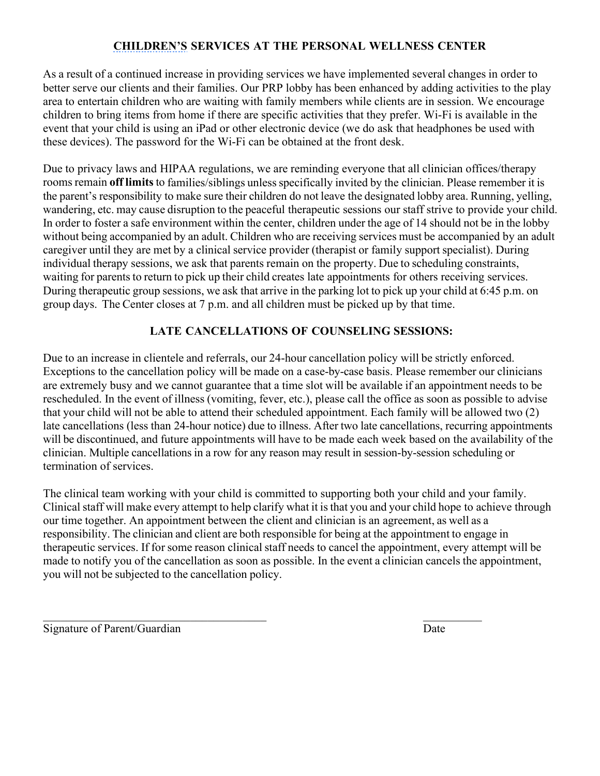## **CHILDREN'S SERVICES AT THE PERSONAL WELLNESS CENTER**

As a result of a continued increase in providing services we have implemented several changes in order to better serve our clients and their families. Our PRP lobby has been enhanced by adding activities to the play area to entertain children who are waiting with family members while clients are in session. We encourage children to bring items from home if there are specific activities that they prefer. Wi-Fi is available in the event that your child is using an iPad or other electronic device (we do ask that headphones be used with these devices). The password for the Wi-Fi can be obtained at the front desk.

Due to privacy laws and HIPAA regulations, we are reminding everyone that all clinician offices/therapy rooms remain **off limits**to families/siblings unless specifically invited by the clinician. Please remember it is the parent's responsibility to make sure their children do not leave the designated lobby area. Running, yelling, wandering, etc. may cause disruption to the peaceful therapeutic sessions our staff strive to provide your child. In order to foster a safe environment within the center, children under the age of 14 should not be in the lobby without being accompanied by an adult. Children who are receiving services must be accompanied by an adult caregiver until they are met by a clinical service provider (therapist or family support specialist). During individual therapy sessions, we ask that parents remain on the property. Due to scheduling constraints, waiting for parents to return to pick up their child creates late appointments for others receiving services. During therapeutic group sessions, we ask that arrive in the parking lot to pick up your child at 6:45 p.m. on group days. The Center closes at 7 p.m. and all children must be picked up by that time.

## **LATE CANCELLATIONS OF COUNSELING SESSIONS:**

Due to an increase in clientele and referrals, our 24-hour cancellation policy will be strictly enforced. Exceptions to the cancellation policy will be made on a case-by-case basis. Please remember our clinicians are extremely busy and we cannot guarantee that a time slot will be available if an appointment needs to be rescheduled. In the event of illness (vomiting, fever, etc.), please call the office as soon as possible to advise that your child will not be able to attend their scheduled appointment. Each family will be allowed two (2) late cancellations (less than 24-hour notice) due to illness. After two late cancellations, recurring appointments will be discontinued, and future appointments will have to be made each week based on the availability of the clinician. Multiple cancellations in a row for any reason may result in session-by-session scheduling or termination of services.

The clinical team working with your child is committed to supporting both your child and your family. Clinical staff will make every attempt to help clarify what it is that you and your child hope to achieve through our time together. An appointment between the client and clinician is an agreement, as well as a responsibility. The clinician and client are both responsible for being at the appointment to engage in therapeutic services. If for some reason clinical staff needs to cancel the appointment, every attempt will be made to notify you of the cancellation as soon as possible. In the event a clinician cancels the appointment, you will not be subjected to the cancellation policy.

 $\mathcal{L}_\text{max}$  , and the contract of the contract of the contract of the contract of the contract of the contract of the contract of the contract of the contract of the contract of the contract of the contract of the contr

Signature of Parent/Guardian Date